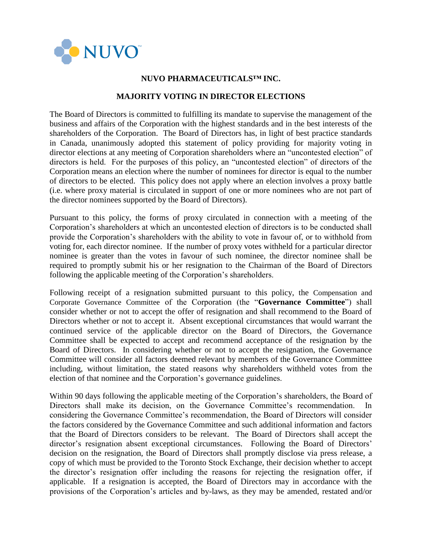

## **NUVO PHARMACEUTICALS™ INC.**

## **MAJORITY VOTING IN DIRECTOR ELECTIONS**

The Board of Directors is committed to fulfilling its mandate to supervise the management of the business and affairs of the Corporation with the highest standards and in the best interests of the shareholders of the Corporation. The Board of Directors has, in light of best practice standards in Canada, unanimously adopted this statement of policy providing for majority voting in director elections at any meeting of Corporation shareholders where an "uncontested election" of directors is held. For the purposes of this policy, an "uncontested election" of directors of the Corporation means an election where the number of nominees for director is equal to the number of directors to be elected. This policy does not apply where an election involves a proxy battle (i.e. where proxy material is circulated in support of one or more nominees who are not part of the director nominees supported by the Board of Directors).

Pursuant to this policy, the forms of proxy circulated in connection with a meeting of the Corporation's shareholders at which an uncontested election of directors is to be conducted shall provide the Corporation's shareholders with the ability to vote in favour of, or to withhold from voting for, each director nominee. If the number of proxy votes withheld for a particular director nominee is greater than the votes in favour of such nominee, the director nominee shall be required to promptly submit his or her resignation to the Chairman of the Board of Directors following the applicable meeting of the Corporation's shareholders.

Following receipt of a resignation submitted pursuant to this policy, the Compensation and Corporate Governance Committee of the Corporation (the "**Governance Committee**") shall consider whether or not to accept the offer of resignation and shall recommend to the Board of Directors whether or not to accept it. Absent exceptional circumstances that would warrant the continued service of the applicable director on the Board of Directors, the Governance Committee shall be expected to accept and recommend acceptance of the resignation by the Board of Directors. In considering whether or not to accept the resignation, the Governance Committee will consider all factors deemed relevant by members of the Governance Committee including, without limitation, the stated reasons why shareholders withheld votes from the election of that nominee and the Corporation's governance guidelines.

Within 90 days following the applicable meeting of the Corporation's shareholders, the Board of Directors shall make its decision, on the Governance Committee's recommendation. considering the Governance Committee's recommendation, the Board of Directors will consider the factors considered by the Governance Committee and such additional information and factors that the Board of Directors considers to be relevant. The Board of Directors shall accept the director's resignation absent exceptional circumstances. Following the Board of Directors' decision on the resignation, the Board of Directors shall promptly disclose via press release, a copy of which must be provided to the Toronto Stock Exchange, their decision whether to accept the director's resignation offer including the reasons for rejecting the resignation offer, if applicable. If a resignation is accepted, the Board of Directors may in accordance with the provisions of the Corporation's articles and by-laws, as they may be amended, restated and/or